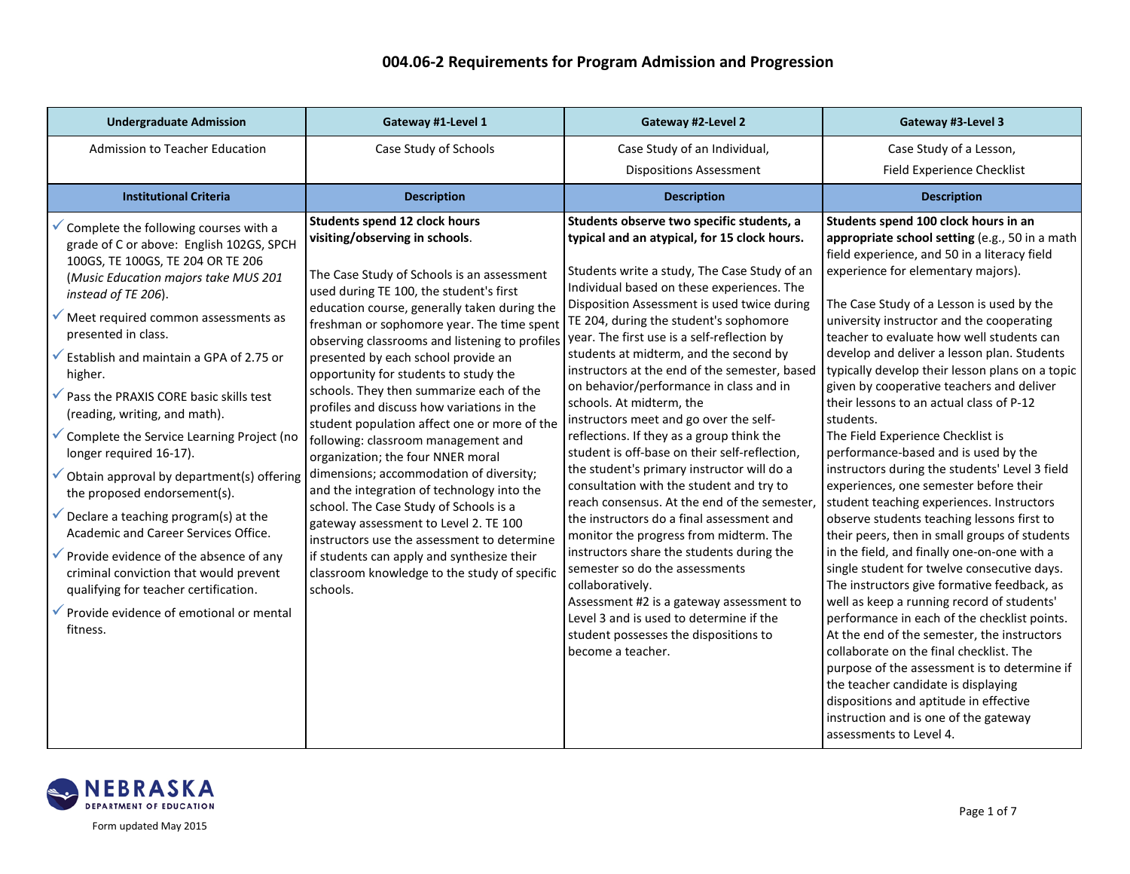| <b>Undergraduate Admission</b>                                                                                                                                                                                                                                                                                                                                                                                                                                                                                                                                                                                                                                                                                                                                                                                | Gateway #1-Level 1                                                                                                                                                                                                                                                                                                                                                                                                                                                                                                                                                                                                                                                                                                                                                                                                                                                                                                                                  | Gateway #2-Level 2                                                                                                                                                                                                                                                                                                                                                                                                                                                                                                                                                                                                                                                                                                                                                                                                                                                                                                                                                                                                                                                                                                                 | Gateway #3-Level 3                                                                                                                                                                                                                                                                                                                                                                                                                                                                                                                                                                                                                                                                                                                                                                                                                                                                                                                                                                                                                                                                                                                                                                                                                                                                                                                                              |
|---------------------------------------------------------------------------------------------------------------------------------------------------------------------------------------------------------------------------------------------------------------------------------------------------------------------------------------------------------------------------------------------------------------------------------------------------------------------------------------------------------------------------------------------------------------------------------------------------------------------------------------------------------------------------------------------------------------------------------------------------------------------------------------------------------------|-----------------------------------------------------------------------------------------------------------------------------------------------------------------------------------------------------------------------------------------------------------------------------------------------------------------------------------------------------------------------------------------------------------------------------------------------------------------------------------------------------------------------------------------------------------------------------------------------------------------------------------------------------------------------------------------------------------------------------------------------------------------------------------------------------------------------------------------------------------------------------------------------------------------------------------------------------|------------------------------------------------------------------------------------------------------------------------------------------------------------------------------------------------------------------------------------------------------------------------------------------------------------------------------------------------------------------------------------------------------------------------------------------------------------------------------------------------------------------------------------------------------------------------------------------------------------------------------------------------------------------------------------------------------------------------------------------------------------------------------------------------------------------------------------------------------------------------------------------------------------------------------------------------------------------------------------------------------------------------------------------------------------------------------------------------------------------------------------|-----------------------------------------------------------------------------------------------------------------------------------------------------------------------------------------------------------------------------------------------------------------------------------------------------------------------------------------------------------------------------------------------------------------------------------------------------------------------------------------------------------------------------------------------------------------------------------------------------------------------------------------------------------------------------------------------------------------------------------------------------------------------------------------------------------------------------------------------------------------------------------------------------------------------------------------------------------------------------------------------------------------------------------------------------------------------------------------------------------------------------------------------------------------------------------------------------------------------------------------------------------------------------------------------------------------------------------------------------------------|
| Admission to Teacher Education                                                                                                                                                                                                                                                                                                                                                                                                                                                                                                                                                                                                                                                                                                                                                                                | Case Study of Schools                                                                                                                                                                                                                                                                                                                                                                                                                                                                                                                                                                                                                                                                                                                                                                                                                                                                                                                               | Case Study of an Individual,                                                                                                                                                                                                                                                                                                                                                                                                                                                                                                                                                                                                                                                                                                                                                                                                                                                                                                                                                                                                                                                                                                       | Case Study of a Lesson,                                                                                                                                                                                                                                                                                                                                                                                                                                                                                                                                                                                                                                                                                                                                                                                                                                                                                                                                                                                                                                                                                                                                                                                                                                                                                                                                         |
|                                                                                                                                                                                                                                                                                                                                                                                                                                                                                                                                                                                                                                                                                                                                                                                                               |                                                                                                                                                                                                                                                                                                                                                                                                                                                                                                                                                                                                                                                                                                                                                                                                                                                                                                                                                     | <b>Dispositions Assessment</b>                                                                                                                                                                                                                                                                                                                                                                                                                                                                                                                                                                                                                                                                                                                                                                                                                                                                                                                                                                                                                                                                                                     | Field Experience Checklist                                                                                                                                                                                                                                                                                                                                                                                                                                                                                                                                                                                                                                                                                                                                                                                                                                                                                                                                                                                                                                                                                                                                                                                                                                                                                                                                      |
| <b>Institutional Criteria</b>                                                                                                                                                                                                                                                                                                                                                                                                                                                                                                                                                                                                                                                                                                                                                                                 | <b>Description</b>                                                                                                                                                                                                                                                                                                                                                                                                                                                                                                                                                                                                                                                                                                                                                                                                                                                                                                                                  | <b>Description</b>                                                                                                                                                                                                                                                                                                                                                                                                                                                                                                                                                                                                                                                                                                                                                                                                                                                                                                                                                                                                                                                                                                                 | <b>Description</b>                                                                                                                                                                                                                                                                                                                                                                                                                                                                                                                                                                                                                                                                                                                                                                                                                                                                                                                                                                                                                                                                                                                                                                                                                                                                                                                                              |
| Complete the following courses with a<br>grade of C or above: English 102GS, SPCH<br>100GS, TE 100GS, TE 204 OR TE 206<br>(Music Education majors take MUS 201<br>instead of TE 206).<br>Meet required common assessments as<br>presented in class.<br>Establish and maintain a GPA of 2.75 or<br>higher.<br>Pass the PRAXIS CORE basic skills test<br>(reading, writing, and math).<br>Complete the Service Learning Project (no<br>longer required 16-17).<br>Obtain approval by department(s) offering<br>the proposed endorsement(s).<br>Declare a teaching program(s) at the<br>Academic and Career Services Office.<br>Provide evidence of the absence of any<br>criminal conviction that would prevent<br>qualifying for teacher certification.<br>Provide evidence of emotional or mental<br>fitness. | Students spend 12 clock hours<br>visiting/observing in schools.<br>The Case Study of Schools is an assessment<br>used during TE 100, the student's first<br>education course, generally taken during the<br>freshman or sophomore year. The time spent<br>observing classrooms and listening to profiles<br>presented by each school provide an<br>opportunity for students to study the<br>schools. They then summarize each of the<br>profiles and discuss how variations in the<br>student population affect one or more of the<br>following: classroom management and<br>organization; the four NNER moral<br>dimensions; accommodation of diversity;<br>and the integration of technology into the<br>school. The Case Study of Schools is a<br>gateway assessment to Level 2. TE 100<br>instructors use the assessment to determine<br>if students can apply and synthesize their<br>classroom knowledge to the study of specific<br>schools. | Students observe two specific students, a<br>typical and an atypical, for 15 clock hours.<br>Students write a study, The Case Study of an<br>Individual based on these experiences. The<br>Disposition Assessment is used twice during<br>TE 204, during the student's sophomore<br>year. The first use is a self-reflection by<br>students at midterm, and the second by<br>instructors at the end of the semester, based<br>on behavior/performance in class and in<br>schools. At midterm, the<br>instructors meet and go over the self-<br>reflections. If they as a group think the<br>student is off-base on their self-reflection,<br>the student's primary instructor will do a<br>consultation with the student and try to<br>reach consensus. At the end of the semester,<br>the instructors do a final assessment and<br>monitor the progress from midterm. The<br>instructors share the students during the<br>semester so do the assessments<br>collaboratively.<br>Assessment #2 is a gateway assessment to<br>Level 3 and is used to determine if the<br>student possesses the dispositions to<br>become a teacher. | Students spend 100 clock hours in an<br>appropriate school setting (e.g., 50 in a math<br>field experience, and 50 in a literacy field<br>experience for elementary majors).<br>The Case Study of a Lesson is used by the<br>university instructor and the cooperating<br>teacher to evaluate how well students can<br>develop and deliver a lesson plan. Students<br>typically develop their lesson plans on a topic<br>given by cooperative teachers and deliver<br>their lessons to an actual class of P-12<br>students.<br>The Field Experience Checklist is<br>performance-based and is used by the<br>instructors during the students' Level 3 field<br>experiences, one semester before their<br>student teaching experiences. Instructors<br>observe students teaching lessons first to<br>their peers, then in small groups of students<br>in the field, and finally one-on-one with a<br>single student for twelve consecutive days.<br>The instructors give formative feedback, as<br>well as keep a running record of students'<br>performance in each of the checklist points.<br>At the end of the semester, the instructors<br>collaborate on the final checklist. The<br>purpose of the assessment is to determine if<br>the teacher candidate is displaying<br>dispositions and aptitude in effective<br>instruction and is one of the gateway |



assessments to Level 4.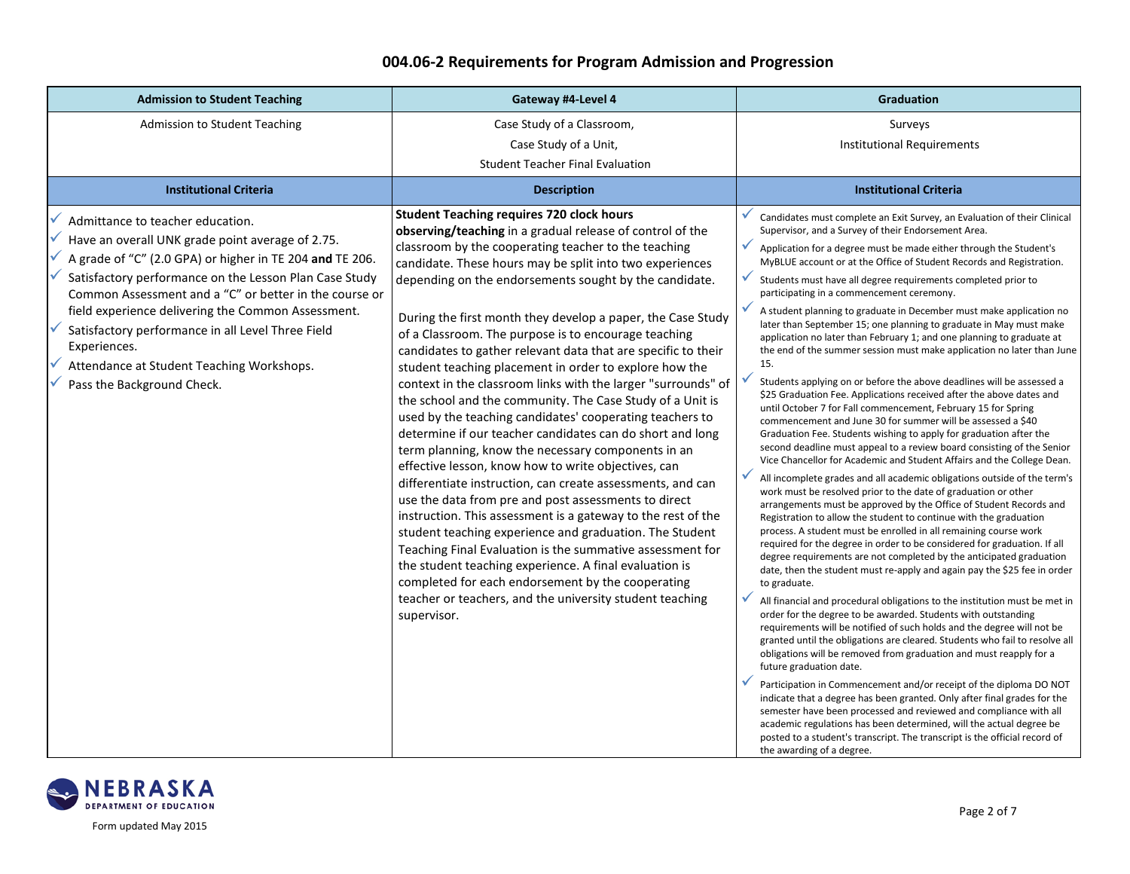| <b>Admission to Student Teaching</b>                                                                                                                                                                                                                                                                                                                                                                                                                                       | Gateway #4-Level 4                                                                                                                                                                                                                                                                                                                                                                                                                                                                                                                                                                                                                                                                                                                                                                                                                                                                                                                                                                                                                                                                                                                                                                                                                                                                                                                                                                                                        | <b>Graduation</b>                                                                                                                                                                                                                                                                                                                                                                                                                                                                                                                                                                                                                                                                                                                                                                                                                                                                                                                                                                                                                                                                                                                                                                                                                                                                                                                                                                                                                                                                                                                                                                                                                                                                                                                                                                                                                                                                                                                                                                                                                                                                                                                                                                                                                                                                                                                                                                                                                                                                                                                                                                                                                                |
|----------------------------------------------------------------------------------------------------------------------------------------------------------------------------------------------------------------------------------------------------------------------------------------------------------------------------------------------------------------------------------------------------------------------------------------------------------------------------|---------------------------------------------------------------------------------------------------------------------------------------------------------------------------------------------------------------------------------------------------------------------------------------------------------------------------------------------------------------------------------------------------------------------------------------------------------------------------------------------------------------------------------------------------------------------------------------------------------------------------------------------------------------------------------------------------------------------------------------------------------------------------------------------------------------------------------------------------------------------------------------------------------------------------------------------------------------------------------------------------------------------------------------------------------------------------------------------------------------------------------------------------------------------------------------------------------------------------------------------------------------------------------------------------------------------------------------------------------------------------------------------------------------------------|--------------------------------------------------------------------------------------------------------------------------------------------------------------------------------------------------------------------------------------------------------------------------------------------------------------------------------------------------------------------------------------------------------------------------------------------------------------------------------------------------------------------------------------------------------------------------------------------------------------------------------------------------------------------------------------------------------------------------------------------------------------------------------------------------------------------------------------------------------------------------------------------------------------------------------------------------------------------------------------------------------------------------------------------------------------------------------------------------------------------------------------------------------------------------------------------------------------------------------------------------------------------------------------------------------------------------------------------------------------------------------------------------------------------------------------------------------------------------------------------------------------------------------------------------------------------------------------------------------------------------------------------------------------------------------------------------------------------------------------------------------------------------------------------------------------------------------------------------------------------------------------------------------------------------------------------------------------------------------------------------------------------------------------------------------------------------------------------------------------------------------------------------------------------------------------------------------------------------------------------------------------------------------------------------------------------------------------------------------------------------------------------------------------------------------------------------------------------------------------------------------------------------------------------------------------------------------------------------------------------------------------------------|
| Admission to Student Teaching                                                                                                                                                                                                                                                                                                                                                                                                                                              | Case Study of a Classroom,                                                                                                                                                                                                                                                                                                                                                                                                                                                                                                                                                                                                                                                                                                                                                                                                                                                                                                                                                                                                                                                                                                                                                                                                                                                                                                                                                                                                | Surveys                                                                                                                                                                                                                                                                                                                                                                                                                                                                                                                                                                                                                                                                                                                                                                                                                                                                                                                                                                                                                                                                                                                                                                                                                                                                                                                                                                                                                                                                                                                                                                                                                                                                                                                                                                                                                                                                                                                                                                                                                                                                                                                                                                                                                                                                                                                                                                                                                                                                                                                                                                                                                                          |
|                                                                                                                                                                                                                                                                                                                                                                                                                                                                            | Case Study of a Unit,                                                                                                                                                                                                                                                                                                                                                                                                                                                                                                                                                                                                                                                                                                                                                                                                                                                                                                                                                                                                                                                                                                                                                                                                                                                                                                                                                                                                     | <b>Institutional Requirements</b>                                                                                                                                                                                                                                                                                                                                                                                                                                                                                                                                                                                                                                                                                                                                                                                                                                                                                                                                                                                                                                                                                                                                                                                                                                                                                                                                                                                                                                                                                                                                                                                                                                                                                                                                                                                                                                                                                                                                                                                                                                                                                                                                                                                                                                                                                                                                                                                                                                                                                                                                                                                                                |
|                                                                                                                                                                                                                                                                                                                                                                                                                                                                            | <b>Student Teacher Final Evaluation</b>                                                                                                                                                                                                                                                                                                                                                                                                                                                                                                                                                                                                                                                                                                                                                                                                                                                                                                                                                                                                                                                                                                                                                                                                                                                                                                                                                                                   |                                                                                                                                                                                                                                                                                                                                                                                                                                                                                                                                                                                                                                                                                                                                                                                                                                                                                                                                                                                                                                                                                                                                                                                                                                                                                                                                                                                                                                                                                                                                                                                                                                                                                                                                                                                                                                                                                                                                                                                                                                                                                                                                                                                                                                                                                                                                                                                                                                                                                                                                                                                                                                                  |
| <b>Institutional Criteria</b>                                                                                                                                                                                                                                                                                                                                                                                                                                              | <b>Description</b>                                                                                                                                                                                                                                                                                                                                                                                                                                                                                                                                                                                                                                                                                                                                                                                                                                                                                                                                                                                                                                                                                                                                                                                                                                                                                                                                                                                                        | <b>Institutional Criteria</b>                                                                                                                                                                                                                                                                                                                                                                                                                                                                                                                                                                                                                                                                                                                                                                                                                                                                                                                                                                                                                                                                                                                                                                                                                                                                                                                                                                                                                                                                                                                                                                                                                                                                                                                                                                                                                                                                                                                                                                                                                                                                                                                                                                                                                                                                                                                                                                                                                                                                                                                                                                                                                    |
| Admittance to teacher education.<br>Have an overall UNK grade point average of 2.75.<br>A grade of "C" (2.0 GPA) or higher in TE 204 and TE 206.<br>Satisfactory performance on the Lesson Plan Case Study<br>Common Assessment and a "C" or better in the course or<br>field experience delivering the Common Assessment.<br>Satisfactory performance in all Level Three Field<br>Experiences.<br>Attendance at Student Teaching Workshops.<br>Pass the Background Check. | <b>Student Teaching requires 720 clock hours</b><br>observing/teaching in a gradual release of control of the<br>classroom by the cooperating teacher to the teaching<br>candidate. These hours may be split into two experiences<br>depending on the endorsements sought by the candidate.<br>During the first month they develop a paper, the Case Study<br>of a Classroom. The purpose is to encourage teaching<br>candidates to gather relevant data that are specific to their<br>student teaching placement in order to explore how the<br>context in the classroom links with the larger "surrounds" of<br>the school and the community. The Case Study of a Unit is<br>used by the teaching candidates' cooperating teachers to<br>determine if our teacher candidates can do short and long<br>term planning, know the necessary components in an<br>effective lesson, know how to write objectives, can<br>differentiate instruction, can create assessments, and can<br>use the data from pre and post assessments to direct<br>instruction. This assessment is a gateway to the rest of the<br>student teaching experience and graduation. The Student<br>Teaching Final Evaluation is the summative assessment for<br>the student teaching experience. A final evaluation is<br>completed for each endorsement by the cooperating<br>teacher or teachers, and the university student teaching<br>supervisor. | Candidates must complete an Exit Survey, an Evaluation of their Clinical<br>Supervisor, and a Survey of their Endorsement Area.<br>Application for a degree must be made either through the Student's<br>MyBLUE account or at the Office of Student Records and Registration.<br>Students must have all degree requirements completed prior to<br>participating in a commencement ceremony.<br>✓<br>A student planning to graduate in December must make application no<br>later than September 15; one planning to graduate in May must make<br>application no later than February 1; and one planning to graduate at<br>the end of the summer session must make application no later than June<br>15.<br>Students applying on or before the above deadlines will be assessed a<br>\$25 Graduation Fee. Applications received after the above dates and<br>until October 7 for Fall commencement, February 15 for Spring<br>commencement and June 30 for summer will be assessed a \$40<br>Graduation Fee. Students wishing to apply for graduation after the<br>second deadline must appeal to a review board consisting of the Senior<br>Vice Chancellor for Academic and Student Affairs and the College Dean.<br>All incomplete grades and all academic obligations outside of the term's<br>work must be resolved prior to the date of graduation or other<br>arrangements must be approved by the Office of Student Records and<br>Registration to allow the student to continue with the graduation<br>process. A student must be enrolled in all remaining course work<br>required for the degree in order to be considered for graduation. If all<br>degree requirements are not completed by the anticipated graduation<br>date, then the student must re-apply and again pay the \$25 fee in order<br>to graduate.<br>All financial and procedural obligations to the institution must be met in<br>order for the degree to be awarded. Students with outstanding<br>requirements will be notified of such holds and the degree will not be<br>granted until the obligations are cleared. Students who fail to resolve all<br>obligations will be removed from graduation and must reapply for a<br>future graduation date.<br>Participation in Commencement and/or receipt of the diploma DO NOT<br>indicate that a degree has been granted. Only after final grades for the<br>semester have been processed and reviewed and compliance with all<br>academic regulations has been determined, will the actual degree be<br>posted to a student's transcript. The transcript is the official record of<br>the awarding of a degree. |

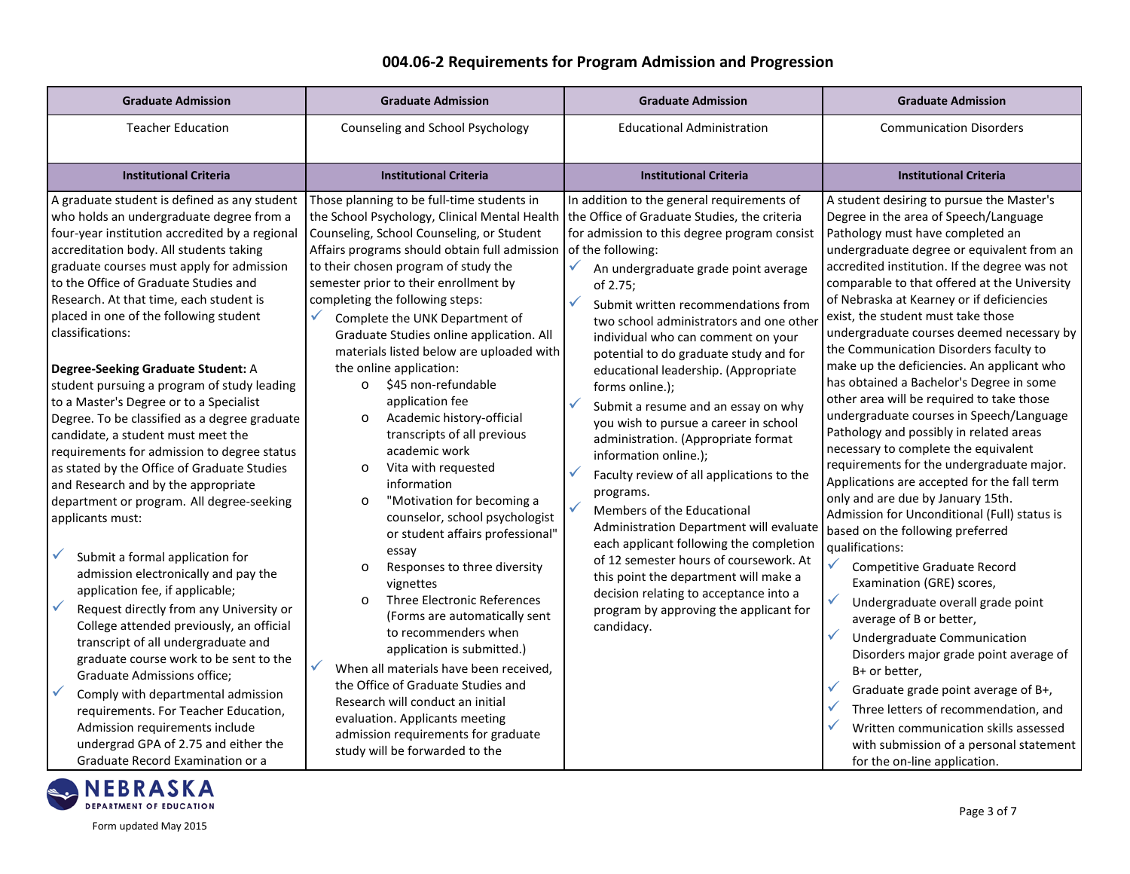| 004.06-2 Requirements for Program Admission and Progression |  |  |
|-------------------------------------------------------------|--|--|
|-------------------------------------------------------------|--|--|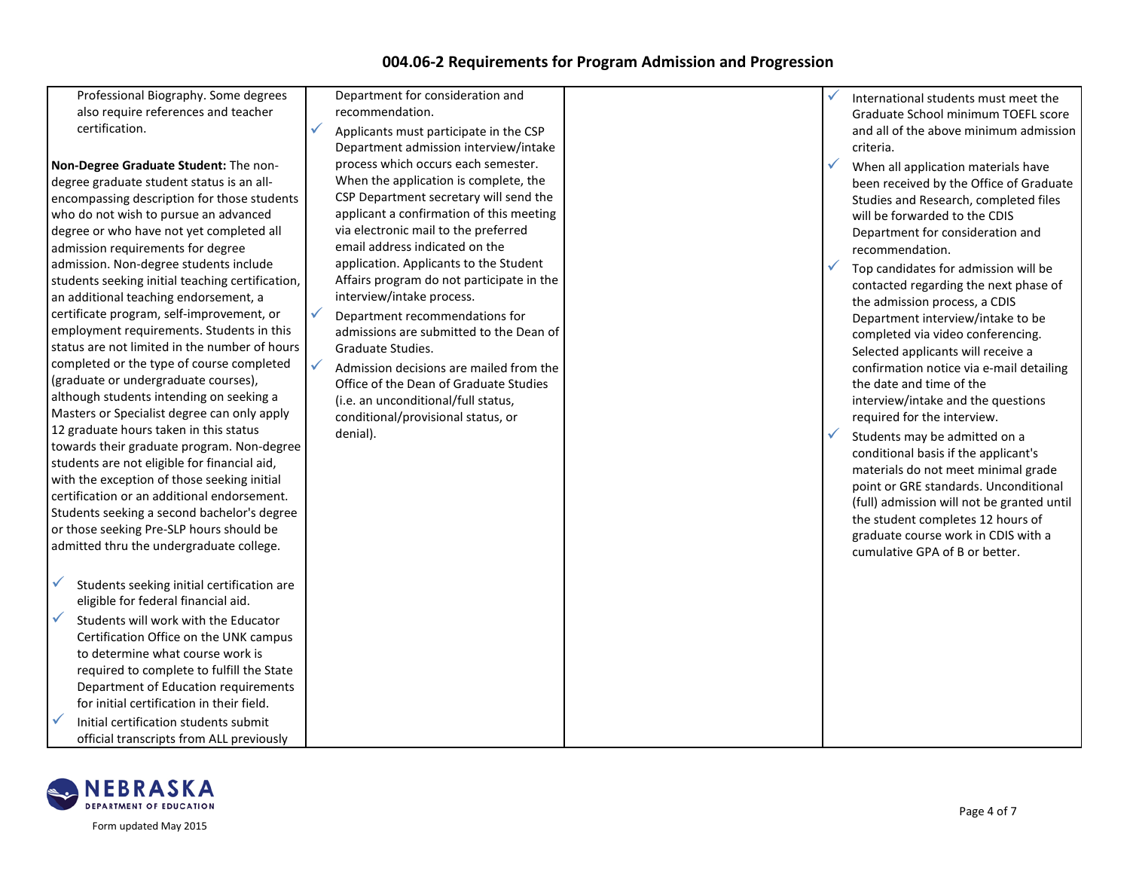## **004.06-2 Requirements for Program Admission and Progression**

Professional Biography. Some degrees also require references and teacher certification.

**Non-Degree Graduate Student:** The nondegree graduate student status is an allencompassing description for those students who do not wish to pursue an advanced degree or who have not yet completed all admission requirements for degree admission. Non-degree students include students seeking initial teaching certification, an additional teaching endorsement, a certificate program, self-improvement, or employment requirements. Students in this status are not limited in the number of hours completed or the type of course completed (graduate or undergraduate courses), although students intending on seeking a Masters or Specialist degree can only apply 12 graduate hours taken in this status towards their graduate program. Non-degree students are not eligible for financial aid, with the exception of those seeking initial certification or an additional endorsement. Students seeking a second bachelor's degree or those seeking Pre-SLP hours should be admitted thru the undergraduate college.

- $\checkmark$  Students seeking initial certification are eligible for federal financial aid.
- $\checkmark$  Students will work with the Educator Certification Office on the UNK campus to determine what course work is required to complete to fulfill the State Department of Education requirements for initial certification in their field.
- $\checkmark$  Initial certification students submit official transcripts from ALL previously

Department for consideration and recommendation.

- $\checkmark$  Applicants must participate in the CSP Department admission interview/intake process which occurs each semester. When the application is complete, the CSP Department secretary will send the applicant a confirmation of this meeting via electronic mail to the preferred email address indicated on the application. Applicants to the Student Affairs program do not participate in the interview/intake process.
	- Department recommendations for admissions are submitted to the Dean of Graduate Studies.
- $\checkmark$  Admission decisions are mailed from the Office of the Dean of Graduate Studies (i.e. an unconditional/full status, conditional/provisional status, or denial).

 International students must meet the Graduate School minimum TOEFL score and all of the above minimum admission criteria.

- When all application materials have been received by the Office of Graduate Studies and Research, completed files will be forwarded to the CDIS Department for consideration and recommendation.
- Top candidates for admission will be contacted regarding the next phase of the admission process, a CDIS Department interview/intake to be completed via video conferencing. Selected applicants will receive a confirmation notice via e-mail detailing the date and time of the interview/intake and the questions required for the interview.
- Students may be admitted on a conditional basis if the applicant's materials do not meet minimal grade point or GRE standards. Unconditional (full) admission will not be granted until the student completes 12 hours of graduate course work in CDIS with a cumulative GPA of B or better.



Form updated May 2015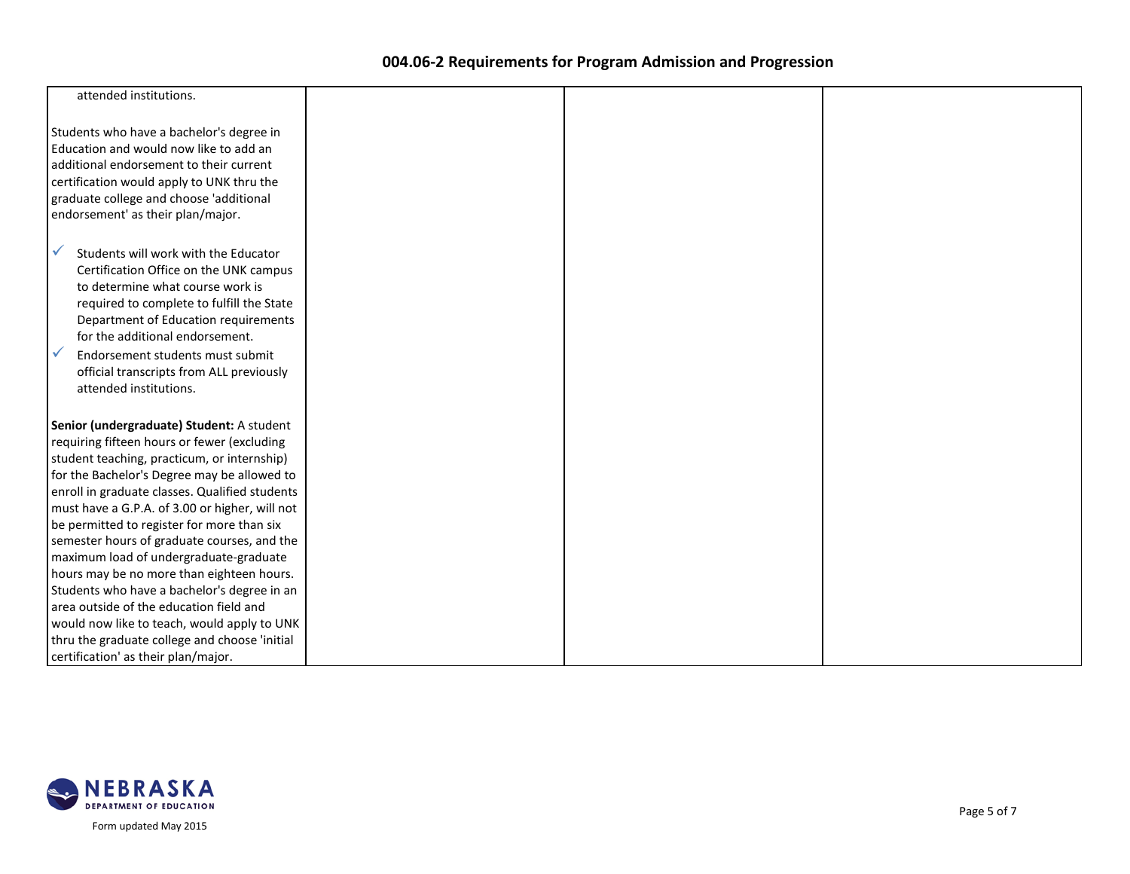| attended institutions.                         |  |  |
|------------------------------------------------|--|--|
|                                                |  |  |
| Students who have a bachelor's degree in       |  |  |
| Education and would now like to add an         |  |  |
| additional endorsement to their current        |  |  |
| certification would apply to UNK thru the      |  |  |
| graduate college and choose 'additional        |  |  |
| endorsement' as their plan/major.              |  |  |
|                                                |  |  |
| Students will work with the Educator           |  |  |
| Certification Office on the UNK campus         |  |  |
| to determine what course work is               |  |  |
| required to complete to fulfill the State      |  |  |
| Department of Education requirements           |  |  |
| for the additional endorsement.                |  |  |
| Endorsement students must submit               |  |  |
| official transcripts from ALL previously       |  |  |
| attended institutions.                         |  |  |
|                                                |  |  |
| Senior (undergraduate) Student: A student      |  |  |
| requiring fifteen hours or fewer (excluding    |  |  |
| student teaching, practicum, or internship)    |  |  |
| for the Bachelor's Degree may be allowed to    |  |  |
| enroll in graduate classes. Qualified students |  |  |
| must have a G.P.A. of 3.00 or higher, will not |  |  |
| be permitted to register for more than six     |  |  |
| semester hours of graduate courses, and the    |  |  |
| maximum load of undergraduate-graduate         |  |  |
| hours may be no more than eighteen hours.      |  |  |
| Students who have a bachelor's degree in an    |  |  |
| area outside of the education field and        |  |  |
| would now like to teach, would apply to UNK    |  |  |
| thru the graduate college and choose 'initial  |  |  |
| certification' as their plan/major.            |  |  |

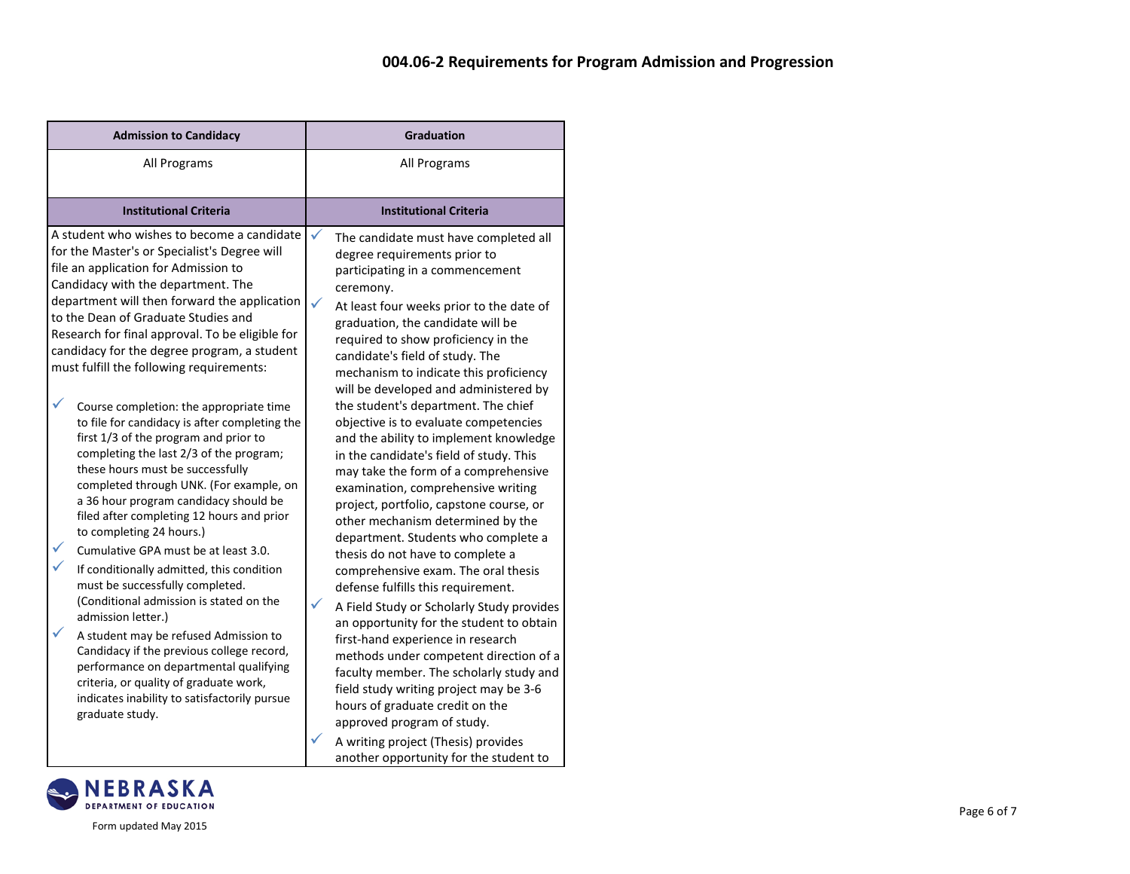| <b>Admission to Candidacy</b>                                                                                                                                                                                                                                                                                                                                                                                                                                                                                                                                                                                                                                                                                                                                                                                                                                                                                                                                                                                                                                                                                                                                                                                                        | <b>Graduation</b>                                                                                                                                                                                                                                                                                                                                                                                                                                                                                                                                                                                                                                                                                                                                                                                                                                                                                                                                                                                                                                                                                                                                                                                                                                                                            |
|--------------------------------------------------------------------------------------------------------------------------------------------------------------------------------------------------------------------------------------------------------------------------------------------------------------------------------------------------------------------------------------------------------------------------------------------------------------------------------------------------------------------------------------------------------------------------------------------------------------------------------------------------------------------------------------------------------------------------------------------------------------------------------------------------------------------------------------------------------------------------------------------------------------------------------------------------------------------------------------------------------------------------------------------------------------------------------------------------------------------------------------------------------------------------------------------------------------------------------------|----------------------------------------------------------------------------------------------------------------------------------------------------------------------------------------------------------------------------------------------------------------------------------------------------------------------------------------------------------------------------------------------------------------------------------------------------------------------------------------------------------------------------------------------------------------------------------------------------------------------------------------------------------------------------------------------------------------------------------------------------------------------------------------------------------------------------------------------------------------------------------------------------------------------------------------------------------------------------------------------------------------------------------------------------------------------------------------------------------------------------------------------------------------------------------------------------------------------------------------------------------------------------------------------|
| All Programs                                                                                                                                                                                                                                                                                                                                                                                                                                                                                                                                                                                                                                                                                                                                                                                                                                                                                                                                                                                                                                                                                                                                                                                                                         | All Programs                                                                                                                                                                                                                                                                                                                                                                                                                                                                                                                                                                                                                                                                                                                                                                                                                                                                                                                                                                                                                                                                                                                                                                                                                                                                                 |
| <b>Institutional Criteria</b>                                                                                                                                                                                                                                                                                                                                                                                                                                                                                                                                                                                                                                                                                                                                                                                                                                                                                                                                                                                                                                                                                                                                                                                                        | <b>Institutional Criteria</b>                                                                                                                                                                                                                                                                                                                                                                                                                                                                                                                                                                                                                                                                                                                                                                                                                                                                                                                                                                                                                                                                                                                                                                                                                                                                |
| A student who wishes to become a candidate<br>for the Master's or Specialist's Degree will<br>file an application for Admission to<br>Candidacy with the department. The<br>department will then forward the application<br>to the Dean of Graduate Studies and<br>Research for final approval. To be eligible for<br>candidacy for the degree program, a student<br>must fulfill the following requirements:<br>Course completion: the appropriate time<br>to file for candidacy is after completing the<br>first 1/3 of the program and prior to<br>completing the last 2/3 of the program;<br>these hours must be successfully<br>completed through UNK. (For example, on<br>a 36 hour program candidacy should be<br>filed after completing 12 hours and prior<br>to completing 24 hours.)<br>Cumulative GPA must be at least 3.0.<br>If conditionally admitted, this condition<br>must be successfully completed.<br>(Conditional admission is stated on the<br>admission letter.)<br>A student may be refused Admission to<br>Candidacy if the previous college record,<br>performance on departmental qualifying<br>criteria, or quality of graduate work,<br>indicates inability to satisfactorily pursue<br>graduate study. | ✓<br>The candidate must have completed all<br>degree requirements prior to<br>participating in a commencement<br>ceremony.<br>✓<br>At least four weeks prior to the date of<br>graduation, the candidate will be<br>required to show proficiency in the<br>candidate's field of study. The<br>mechanism to indicate this proficiency<br>will be developed and administered by<br>the student's department. The chief<br>objective is to evaluate competencies<br>and the ability to implement knowledge<br>in the candidate's field of study. This<br>may take the form of a comprehensive<br>examination, comprehensive writing<br>project, portfolio, capstone course, or<br>other mechanism determined by the<br>department. Students who complete a<br>thesis do not have to complete a<br>comprehensive exam. The oral thesis<br>defense fulfills this requirement.<br>✓<br>A Field Study or Scholarly Study provides<br>an opportunity for the student to obtain<br>first-hand experience in research<br>methods under competent direction of a<br>faculty member. The scholarly study and<br>field study writing project may be 3-6<br>hours of graduate credit on the<br>approved program of study.<br>A writing project (Thesis) provides<br>another opportunity for the student to |